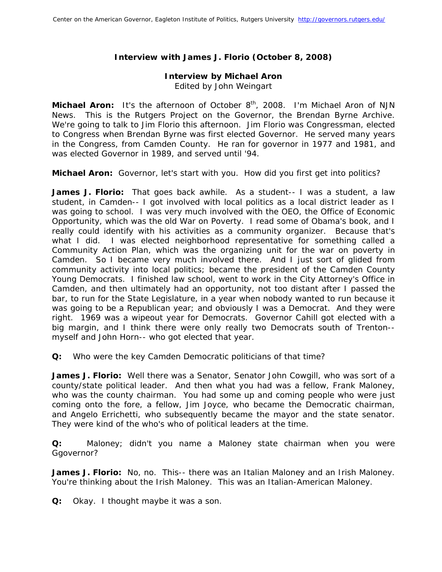# **Interview with James J. Florio (October 8, 2008)**

## **Interview by Michael Aron**

*Edited by John Weingart* 

**Michael Aron:** It's the afternoon of October 8<sup>th</sup>, 2008. I'm Michael Aron of NJN News. This is the Rutgers Project on the Governor, the Brendan Byrne Archive. We're going to talk to Jim Florio this afternoon. Jim Florio was Congressman, elected to Congress when Brendan Byrne was first elected Governor. He served many years in the Congress, from Camden County. He ran for governor in 1977 and 1981, and was elected Governor in 1989, and served until '94.

**Michael Aron:** Governor, let's start with you. How did you first get into politics?

**James J. Florio:** That goes back awhile. As a student-- I was a student, a law student, in Camden-- I got involved with local politics as a local district leader as I was going to school. I was very much involved with the OEO, the Office of Economic Opportunity, which was the old War on Poverty. I read some of Obama's book, and I really could identify with his activities as a community organizer. Because that's what I did. I was elected neighborhood representative for something called a Community Action Plan, which was the organizing unit for the war on poverty in Camden. So I became very much involved there. And I just sort of glided from community activity into local politics; became the president of the Camden County Young Democrats. I finished law school, went to work in the City Attorney's Office in Camden, and then ultimately had an opportunity, not too distant after I passed the bar, to run for the State Legislature, in a year when nobody wanted to run because it was going to be a Republican year; and obviously I was a Democrat. And they were right. 1969 was a wipeout year for Democrats. Governor Cahill got elected with a big margin, and I think there were only really two Democrats south of Trenton- myself and John Horn-- who got elected that year.

**Q:** Who were the key Camden Democratic politicians of that time?

**James J. Florio:** Well there was a Senator, Senator John Cowgill, who was sort of a county/state political leader. And then what you had was a fellow, Frank Maloney, who was the county chairman. You had some up and coming people who were just coming onto the fore, a fellow, Jim Joyce, who became the Democratic chairman, and Angelo Errichetti, who subsequently became the mayor and the state senator. They were kind of the who's who of political leaders at the time.

**Q:** Maloney; didn't you name a Maloney state chairman when you were Ggovernor?

James J. Florio: No, no. This-- there was an Italian Maloney and an Irish Maloney. You're thinking about the Irish Maloney. This was an Italian-American Maloney.

**Q:** Okay. I thought maybe it was a son.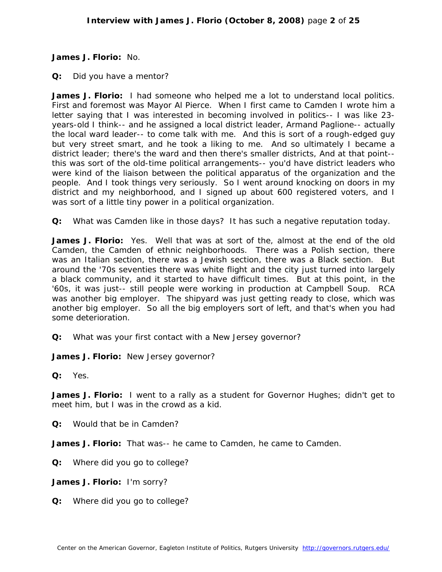**James J. Florio:** No.

**Q:** Did you have a mentor?

**James J. Florio:** I had someone who helped me a lot to understand local politics. First and foremost was Mayor Al Pierce. When I first came to Camden I wrote him a letter saying that I was interested in becoming involved in politics-- I was like 23 years-old I think-- and he assigned a local district leader, Armand Paglione-- actually the local ward leader-- to come talk with me. And this is sort of a rough-edged guy but very street smart, and he took a liking to me. And so ultimately I became a district leader; there's the ward and then there's smaller districts, And at that point- this was sort of the old-time political arrangements-- you'd have district leaders who were kind of the liaison between the political apparatus of the organization and the people. And I took things very seriously. So I went around knocking on doors in my district and my neighborhood, and I signed up about 600 registered voters, and I was sort of a little tiny power in a political organization.

**Q:** What was Camden like in those days? It has such a negative reputation today.

**James J. Florio:** Yes. Well that was at sort of the, almost at the end of the old Camden, the Camden of ethnic neighborhoods. There was a Polish section, there was an Italian section, there was a Jewish section, there was a Black section. But around the '70s seventies there was white flight and the city just turned into largely a black community, and it started to have difficult times. But at this point, in the '60s, it was just-- still people were working in production at Campbell Soup. RCA was another big employer. The shipyard was just getting ready to close, which was another big employer. So all the big employers sort of left, and that's when you had some deterioration.

**Q:** What was your first contact with a New Jersey governor?

**James J. Florio:** New Jersey governor?

**Q:** Yes.

**James J. Florio:** I went to a rally as a student for Governor Hughes; didn't get to meet him, but I was in the crowd as a kid.

**Q:** Would that be in Camden?

**James J. Florio:** That was-- he came to Camden, he came to Camden.

**Q:** Where did you go to college?

**James J. Florio:** I'm sorry?

**Q:** Where did you go to college?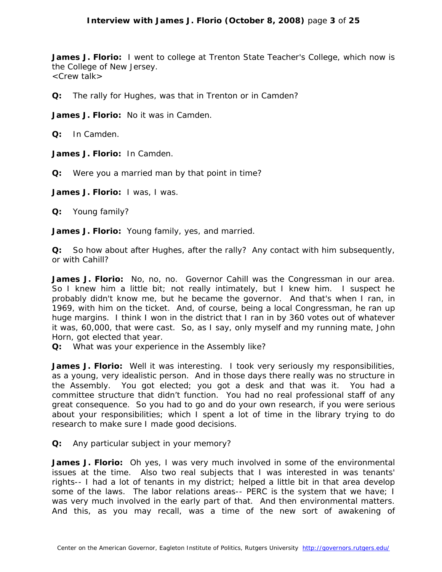**James J. Florio:** I went to college at Trenton State Teacher's College, which now is the College of New Jersey. <Crew talk>

**Q:** The rally for Hughes, was that in Trenton or in Camden?

**James J. Florio:** No it was in Camden.

**Q:** In Camden.

**James J. Florio:** In Camden.

**Q:** Were you a married man by that point in time?

**James J. Florio:** I was, I was.

**Q:** Young family?

**James J. Florio:** Young family, yes, and married.

**Q:** So how about after Hughes, after the rally? Any contact with him subsequently, or with Cahill?

**James J. Florio:** No, no, no. Governor Cahill was the Congressman in our area. So I knew him a little bit; not really intimately, but I knew him. I suspect he probably didn't know me, but he became the governor. And that's when I ran, in 1969, with him on the ticket. And, of course, being a local Congressman, he ran up huge margins. I think I won in the district that I ran in by 360 votes out of whatever it was, 60,000, that were cast. So, as I say, only myself and my running mate, John Horn, got elected that year.

**Q:** What was your experience in the Assembly like?

James J. Florio: Well it was interesting. I took very seriously my responsibilities, as a young, very idealistic person. And in those days there really was no structure in the Assembly. You got elected; you got a desk and that was it. You had a committee structure that didn't function. You had no real professional staff of any great consequence. So you had to go and do your own research, if you were serious about your responsibilities; which I spent a lot of time in the library trying to do research to make sure I made good decisions.

**Q:** Any particular subject in your memory?

**James J. Florio:** Oh yes, I was very much involved in some of the environmental issues at the time. Also two real subjects that I was interested in was tenants' rights-- I had a lot of tenants in my district; helped a little bit in that area develop some of the laws. The labor relations areas-- PERC is the system that we have; I was very much involved in the early part of that. And then environmental matters. And this, as you may recall, was a time of the new sort of awakening of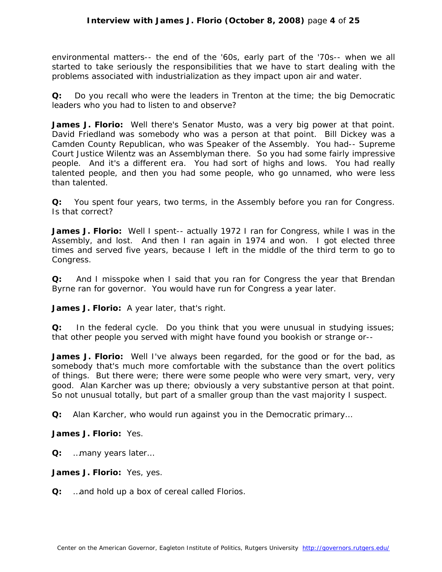environmental matters-- the end of the '60s, early part of the '70s-- when we all started to take seriously the responsibilities that we have to start dealing with the problems associated with industrialization as they impact upon air and water.

**Q:** Do you recall who were the leaders in Trenton at the time; the big Democratic leaders who you had to listen to and observe?

**James J. Florio:** Well there's Senator Musto, was a very big power at that point. David Friedland was somebody who was a person at that point. Bill Dickey was a Camden County Republican, who was Speaker of the Assembly. You had-- Supreme Court Justice Wilentz was an Assemblyman there. So you had some fairly impressive people. And it's a different era. You had sort of highs and lows. You had really talented people, and then you had some people, who go unnamed, who were less than talented.

**Q:** You spent four years, two terms, in the Assembly before you ran for Congress. Is that correct?

**James J. Florio:** Well I spent-- actually 1972 I ran for Congress, while I was in the Assembly, and lost. And then I ran again in 1974 and won. I got elected three times and served five years, because I left in the middle of the third term to go to Congress.

**Q:** And I misspoke when I said that you ran for Congress the year that Brendan Byrne ran for governor. You would have run for Congress a year later.

**James J. Florio:** A year later, that's right.

**Q:** In the federal cycle. Do you think that you were unusual in studying issues; that other people you served with might have found you bookish or strange or--

James J. Florio: Well I've always been regarded, for the good or for the bad, as somebody that's much more comfortable with the substance than the overt politics of things. But there were; there were some people who were very smart, very, very good. Alan Karcher was up there; obviously a very substantive person at that point. So not unusual totally, but part of a smaller group than the vast majority I suspect.

**Q:** Alan Karcher, who would run against you in the Democratic primary…

**James J. Florio:** Yes.

**Q:** …many years later…

**James J. Florio:** Yes, yes.

**Q:** …and hold up a box of cereal called Florios.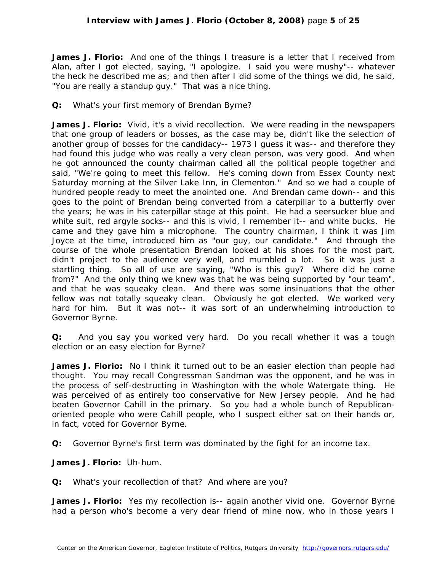**James J. Florio:** And one of the things I treasure is a letter that I received from Alan, after I got elected, saying, "I apologize. I said you were mushy"-- whatever the heck he described me as; and then after I did some of the things we did, he said, "You are really a standup guy." That was a nice thing.

**Q:** What's your first memory of Brendan Byrne?

**James J. Florio:** Vivid, it's a vivid recollection. We were reading in the newspapers that one group of leaders or bosses, as the case may be, didn't like the selection of another group of bosses for the candidacy-- 1973 I guess it was-- and therefore they had found this judge who was really a very clean person, was very good. And when he got announced the county chairman called all the political people together and said, "We're going to meet this fellow. He's coming down from Essex County next Saturday morning at the Silver Lake Inn, in Clementon." And so we had a couple of hundred people ready to meet the anointed one. And Brendan came down-- and this goes to the point of Brendan being converted from a caterpillar to a butterfly over the years; he was in his caterpillar stage at this point. He had a seersucker blue and white suit, red argyle socks-- and this is vivid, I remember it-- and white bucks. He came and they gave him a microphone. The country chairman, I think it was Jim Joyce at the time, introduced him as "our guy, our candidate." And through the course of the whole presentation Brendan looked at his shoes for the most part, didn't project to the audience very well, and mumbled a lot. So it was just a startling thing. So all of use are saying, "Who is this guy? Where did he come from?" And the only thing we knew was that he was being supported by "our team", and that he was squeaky clean. And there was some insinuations that the other fellow was not totally squeaky clean. Obviously he got elected. We worked very hard for him. But it was not-- it was sort of an underwhelming introduction to Governor Byrne.

**Q:** And you say you worked very hard. Do you recall whether it was a tough election or an easy election for Byrne?

**James J. Florio:** No I think it turned out to be an easier election than people had thought. You may recall Congressman Sandman was the opponent, and he was in the process of self-destructing in Washington with the whole Watergate thing. He was perceived of as entirely too conservative for New Jersey people. And he had beaten Governor Cahill in the primary. So you had a whole bunch of Republicanoriented people who were Cahill people, who I suspect either sat on their hands or, in fact, voted for Governor Byrne.

**Q:** Governor Byrne's first term was dominated by the fight for an income tax.

**James J. Florio:** Uh-hum.

**Q:** What's your recollection of that? And where are you?

**James J. Florio:** Yes my recollection is-- again another vivid one. Governor Byrne had a person who's become a very dear friend of mine now, who in those years I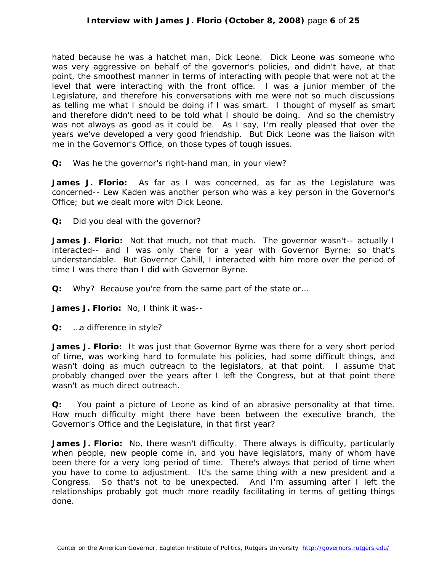hated because he was a hatchet man, Dick Leone. Dick Leone was someone who was very aggressive on behalf of the governor's policies, and didn't have, at that point, the smoothest manner in terms of interacting with people that were not at the level that were interacting with the front office. I was a junior member of the Legislature, and therefore his conversations with me were not so much discussions as telling me what I should be doing if I was smart. I thought of myself as smart and therefore didn't need to be told what I should be doing. And so the chemistry was not always as good as it could be. As I say, I'm really pleased that over the years we've developed a very good friendship. But Dick Leone was the liaison with me in the Governor's Office, on those types of tough issues.

**Q:** Was he the governor's right-hand man, in your view?

**James J. Florio:** As far as I was concerned, as far as the Legislature was concerned-- Lew Kaden was another person who was a key person in the Governor's Office; but we dealt more with Dick Leone.

**Q:** Did you deal with the governor?

James J. Florio: Not that much, not that much. The governor wasn't-- actually I interacted-- and I was only there for a year with Governor Byrne; so that's understandable. But Governor Cahill, I interacted with him more over the period of time I was there than I did with Governor Byrne.

**Q:** Why? Because you're from the same part of the state or…

**James J. Florio:** No, I think it was--

**Q:** …a difference in style?

**James J. Florio:** It was just that Governor Byrne was there for a very short period of time, was working hard to formulate his policies, had some difficult things, and wasn't doing as much outreach to the legislators, at that point. I assume that probably changed over the years after I left the Congress, but at that point there wasn't as much direct outreach.

**Q:** You paint a picture of Leone as kind of an abrasive personality at that time. How much difficulty might there have been between the executive branch, the Governor's Office and the Legislature, in that first year?

**James J. Florio:** No, there wasn't difficulty. There always is difficulty, particularly when people, new people come in, and you have legislators, many of whom have been there for a very long period of time. There's always that period of time when you have to come to adjustment. It's the same thing with a new president and a Congress. So that's not to be unexpected. And I'm assuming after I left the relationships probably got much more readily facilitating in terms of getting things done.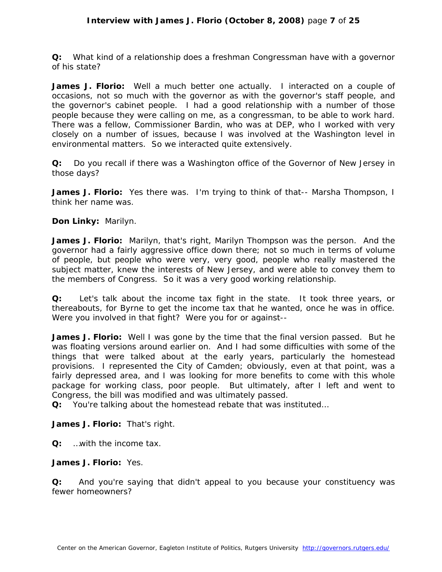**Q:** What kind of a relationship does a freshman Congressman have with a governor of his state?

**James J. Florio:** Well a much better one actually. I interacted on a couple of occasions, not so much with the governor as with the governor's staff people, and the governor's cabinet people. I had a good relationship with a number of those people because they were calling on me, as a congressman, to be able to work hard. There was a fellow, Commissioner Bardin, who was at DEP, who I worked with very closely on a number of issues, because I was involved at the Washington level in environmental matters. So we interacted quite extensively.

**Q:** Do you recall if there was a Washington office of the Governor of New Jersey in those days?

**James J. Florio:** Yes there was. I'm trying to think of that-- Marsha Thompson, I think her name was.

**Don Linky:** Marilyn.

**James J. Florio:** Marilyn, that's right, Marilyn Thompson was the person. And the governor had a fairly aggressive office down there; not so much in terms of volume of people, but people who were very, very good, people who really mastered the subject matter, knew the interests of New Jersey, and were able to convey them to the members of Congress. So it was a very good working relationship.

**Q:** Let's talk about the income tax fight in the state. It took three years, or thereabouts, for Byrne to get the income tax that he wanted, once he was in office. Were you involved in that fight? Were you for or against--

**James J. Florio:** Well I was gone by the time that the final version passed. But he was floating versions around earlier on. And I had some difficulties with some of the things that were talked about at the early years, particularly the homestead provisions. I represented the City of Camden; obviously, even at that point, was a fairly depressed area, and I was looking for more benefits to come with this whole package for working class, poor people. But ultimately, after I left and went to Congress, the bill was modified and was ultimately passed.

**Q:** You're talking about the homestead rebate that was instituted…

**James J. Florio:** That's right.

**Q:** …with the income tax.

**James J. Florio:** Yes.

**Q:** And you're saying that didn't appeal to you because your constituency was fewer homeowners?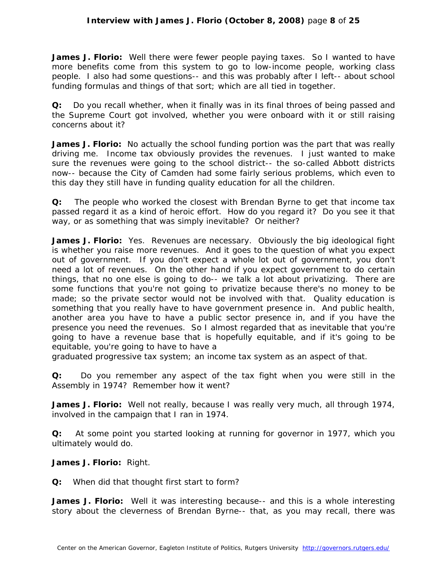**James J. Florio:** Well there were fewer people paying taxes. So I wanted to have more benefits come from this system to go to low-income people, working class people. I also had some questions-- and this was probably after I left-- about school funding formulas and things of that sort; which are all tied in together.

**Q:** Do you recall whether, when it finally was in its final throes of being passed and the Supreme Court got involved, whether you were onboard with it or still raising concerns about it?

**James J. Florio:** No actually the school funding portion was the part that was really driving me. Income tax obviously provides the revenues. I just wanted to make sure the revenues were going to the school district-- the so-called Abbott districts now-- because the City of Camden had some fairly serious problems, which even to this day they still have in funding quality education for all the children.

**Q:** The people who worked the closest with Brendan Byrne to get that income tax passed regard it as a kind of heroic effort. How do you regard it? Do you see it that way, or as something that was simply inevitable? Or neither?

**James J. Florio:** Yes. Revenues are necessary. Obviously the big ideological fight is whether you raise more revenues. And it goes to the question of what you expect out of government. If you don't expect a whole lot out of government, you don't need a lot of revenues. On the other hand if you expect government to do certain things, that no one else is going to do-- we talk a lot about privatizing. There are some functions that you're not going to privatize because there's no money to be made; so the private sector would not be involved with that. Quality education is something that you really have to have government presence in. And public health, another area you have to have a public sector presence in, and if you have the presence you need the revenues. So I almost regarded that as inevitable that you're going to have a revenue base that is hopefully equitable, and if it's going to be equitable, you're going to have to have a

graduated progressive tax system; an income tax system as an aspect of that.

**Q:** Do you remember any aspect of the tax fight when you were still in the Assembly in 1974? Remember how it went?

James J. Florio: Well not really, because I was really very much, all through 1974, involved in the campaign that I ran in 1974.

**Q:** At some point you started looking at running for governor in 1977, which you ultimately would do.

**James J. Florio:** Right.

**Q:** When did that thought first start to form?

**James J. Florio:** Well it was interesting because-- and this is a whole interesting story about the cleverness of Brendan Byrne-- that, as you may recall, there was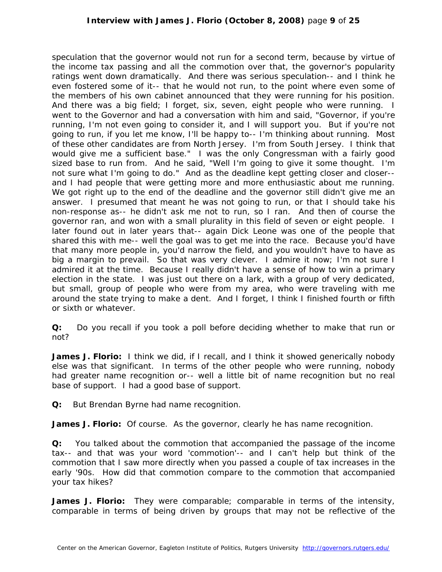speculation that the governor would not run for a second term, because by virtue of the income tax passing and all the commotion over that, the governor's popularity ratings went down dramatically. And there was serious speculation-- and I think he even fostered some of it-- that he would not run, to the point where even some of the members of his own cabinet announced that they were running for his position. And there was a big field; I forget, six, seven, eight people who were running. I went to the Governor and had a conversation with him and said, "Governor, if you're running, I'm not even going to consider it, and I will support you. But if you're not going to run, if you let me know, I'll be happy to-- I'm thinking about running. Most of these other candidates are from North Jersey. I'm from South Jersey. I think that would give me a sufficient base." I was the only Congressman with a fairly good sized base to run from. And he said, "Well I'm going to give it some thought. I'm not sure what I'm going to do." And as the deadline kept getting closer and closer- and I had people that were getting more and more enthusiastic about me running. We got right up to the end of the deadline and the governor still didn't give me an answer. I presumed that meant he was not going to run, or that I should take his non-response as-- he didn't ask me not to run, so I ran. And then of course the governor ran, and won with a small plurality in this field of seven or eight people. I later found out in later years that-- again Dick Leone was one of the people that shared this with me-- well the goal was to get me into the race. Because you'd have that many more people in, you'd narrow the field, and you wouldn't have to have as big a margin to prevail. So that was very clever. I admire it now; I'm not sure I admired it at the time. Because I really didn't have a sense of how to win a primary election in the state. I was just out there on a lark, with a group of very dedicated, but small, group of people who were from my area, who were traveling with me around the state trying to make a dent. And I forget, I think I finished fourth or fifth or sixth or whatever.

**Q:** Do you recall if you took a poll before deciding whether to make that run or not?

**James J. Florio:** I think we did, if I recall, and I think it showed generically nobody else was that significant. In terms of the other people who were running, nobody had greater name recognition or-- well a little bit of name recognition but no real base of support. I had a good base of support.

**Q:** But Brendan Byrne had name recognition.

**James J. Florio:** Of course. As the governor, clearly he has name recognition.

**Q:** You talked about the commotion that accompanied the passage of the income tax-- and that was your word 'commotion'-- and I can't help but think of the commotion that I saw more directly when you passed a couple of tax increases in the early '90s. How did that commotion compare to the commotion that accompanied your tax hikes?

**James J. Florio:** They were comparable; comparable in terms of the intensity, comparable in terms of being driven by groups that may not be reflective of the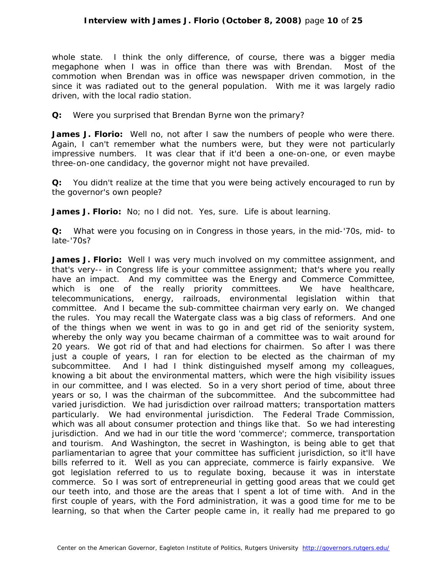whole state. I think the only difference, of course, there was a bigger media megaphone when I was in office than there was with Brendan. Most of the commotion when Brendan was in office was newspaper driven commotion, in the since it was radiated out to the general population. With me it was largely radio driven, with the local radio station.

## **Q:** Were you surprised that Brendan Byrne won the primary?

**James J. Florio:** Well no, not after I saw the numbers of people who were there. Again, I can't remember what the numbers were, but they were not particularly impressive numbers. It was clear that if it'd been a one-on-one, or even maybe three-on-one candidacy, the governor might not have prevailed.

**Q:** You didn't realize at the time that you were being actively encouraged to run by the governor's own people?

**James J. Florio:** No; no I did not. Yes, sure. Life is about learning.

**Q:** What were you focusing on in Congress in those years, in the mid-'70s, mid- to late-'70s?

**James J. Florio:** Well I was very much involved on my committee assignment, and that's very-- in Congress life is your committee assignment; that's where you really have an impact. And my committee was the Energy and Commerce Committee, which is one of the really priority committees. We have healthcare, telecommunications, energy, railroads, environmental legislation within that committee. And I became the sub-committee chairman very early on. We changed the rules. You may recall the Watergate class was a big class of reformers. And one of the things when we went in was to go in and get rid of the seniority system, whereby the only way you became chairman of a committee was to wait around for 20 years. We got rid of that and had elections for chairmen. So after I was there just a couple of years, I ran for election to be elected as the chairman of my subcommittee. And I had I think distinguished myself among my colleagues, knowing a bit about the environmental matters, which were the high visibility issues in our committee, and I was elected. So in a very short period of time, about three years or so, I was the chairman of the subcommittee. And the subcommittee had varied jurisdiction. We had jurisdiction over railroad matters; transportation matters particularly. We had environmental jurisdiction. The Federal Trade Commission, which was all about consumer protection and things like that. So we had interesting jurisdiction. And we had in our title the word 'commerce'; commerce, transportation and tourism. And Washington, the secret in Washington, is being able to get that parliamentarian to agree that your committee has sufficient jurisdiction, so it'll have bills referred to it. Well as you can appreciate, commerce is fairly expansive. We got legislation referred to us to regulate boxing, because it was in interstate commerce. So I was sort of entrepreneurial in getting good areas that we could get our teeth into, and those are the areas that I spent a lot of time with. And in the first couple of years, with the Ford administration, it was a good time for me to be learning, so that when the Carter people came in, it really had me prepared to go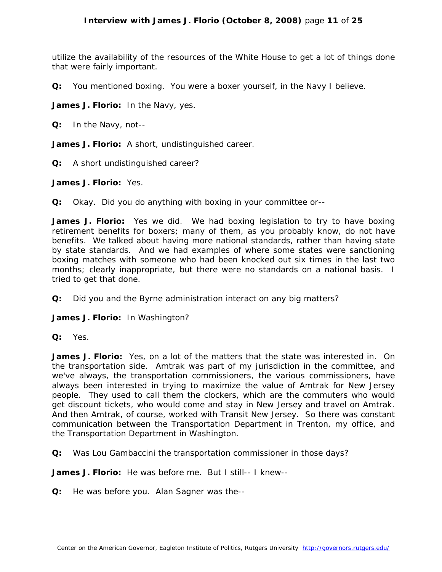utilize the availability of the resources of the White House to get a lot of things done that were fairly important.

**Q:** You mentioned boxing. You were a boxer yourself, in the Navy I believe.

**James J. Florio:** In the Navy, yes.

**Q:** In the Navy, not--

**James J. Florio:** A short, undistinguished career.

**Q:** A short undistinguished career?

**James J. Florio:** Yes.

**Q:** Okay. Did you do anything with boxing in your committee or--

**James J. Florio:** Yes we did. We had boxing legislation to try to have boxing retirement benefits for boxers; many of them, as you probably know, do not have benefits. We talked about having more national standards, rather than having state by state standards. And we had examples of where some states were sanctioning boxing matches with someone who had been knocked out six times in the last two months; clearly inappropriate, but there were no standards on a national basis. I tried to get that done.

**Q:** Did you and the Byrne administration interact on any big matters?

**James J. Florio:** In Washington?

**Q:** Yes.

**James J. Florio:** Yes, on a lot of the matters that the state was interested in. On the transportation side. Amtrak was part of my jurisdiction in the committee, and we've always, the transportation commissioners, the various commissioners, have always been interested in trying to maximize the value of Amtrak for New Jersey people. They used to call them the clockers, which are the commuters who would get discount tickets, who would come and stay in New Jersey and travel on Amtrak. And then Amtrak, of course, worked with Transit New Jersey. So there was constant communication between the Transportation Department in Trenton, my office, and the Transportation Department in Washington.

**Q:** Was Lou Gambaccini the transportation commissioner in those days?

**James J. Florio:** He was before me. But I still-- I knew--

**Q:** He was before you. Alan Sagner was the--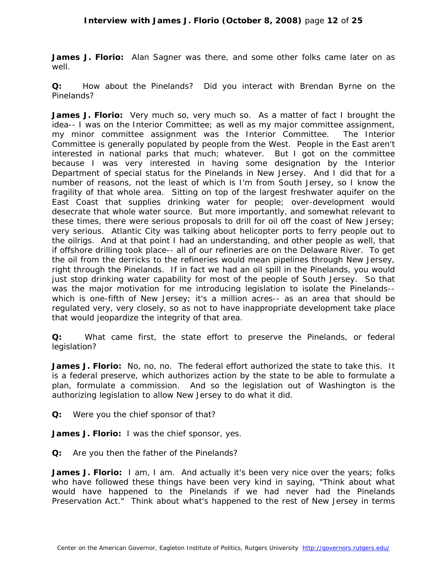**James J. Florio:** Alan Sagner was there, and some other folks came later on as well.

**Q:** How about the Pinelands? Did you interact with Brendan Byrne on the Pinelands?

**James J. Florio:** Very much so, very much so. As a matter of fact I brought the idea-- I was on the Interior Committee; as well as my major committee assignment, my minor committee assignment was the Interior Committee. The Interior Committee is generally populated by people from the West. People in the East aren't interested in national parks that much; whatever. But I got on the committee because I was very interested in having some designation by the Interior Department of special status for the Pinelands in New Jersey. And I did that for a number of reasons, not the least of which is I'm from South Jersey, so I know the fragility of that whole area. Sitting on top of the largest freshwater aquifer on the East Coast that supplies drinking water for people; over-development would desecrate that whole water source. But more importantly, and somewhat relevant to these times, there were serious proposals to drill for oil off the coast of New Jersey; very serious. Atlantic City was talking about helicopter ports to ferry people out to the oilrigs. And at that point I had an understanding, and other people as well, that if offshore drilling took place-- all of our refineries are on the Delaware River. To get the oil from the derricks to the refineries would mean pipelines through New Jersey, right through the Pinelands. If in fact we had an oil spill in the Pinelands, you would just stop drinking water capability for most of the people of South Jersey. So that was the major motivation for me introducing legislation to isolate the Pinelands- which is one-fifth of New Jersey; it's a million acres-- as an area that should be regulated very, very closely, so as not to have inappropriate development take place that would jeopardize the integrity of that area.

**Q:** What came first, the state effort to preserve the Pinelands, or federal legislation?

**James J. Florio:** No, no, no. The federal effort authorized the state to take this. It is a federal preserve, which authorizes action by the state to be able to formulate a plan, formulate a commission. And so the legislation out of Washington is the authorizing legislation to allow New Jersey to do what it did.

**Q:** Were you the chief sponsor of that?

**James J. Florio:** I was the chief sponsor, yes.

**Q:** Are you then the father of the Pinelands?

James J. Florio: I am, I am. And actually it's been very nice over the years; folks who have followed these things have been very kind in saying, "Think about what would have happened to the Pinelands if we had never had the Pinelands Preservation Act." Think about what's happened to the rest of New Jersey in terms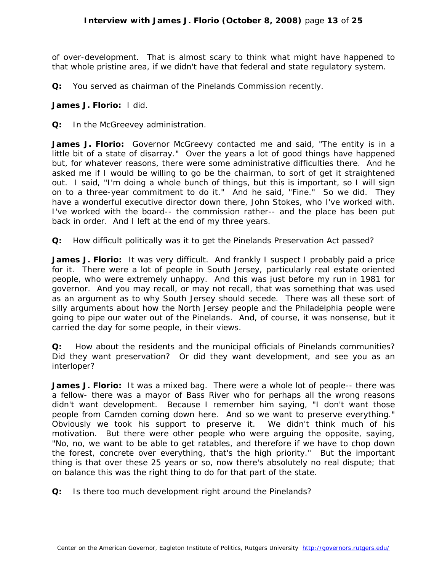of over-development. That is almost scary to think what might have happened to that whole pristine area, if we didn't have that federal and state regulatory system.

**Q:** You served as chairman of the Pinelands Commission recently.

## **James J. Florio:** I did.

**Q:** In the McGreevey administration.

**James J. Florio:** Governor McGreevy contacted me and said, "The entity is in a little bit of a state of disarray." Over the years a lot of good things have happened but, for whatever reasons, there were some administrative difficulties there. And he asked me if I would be willing to go be the chairman, to sort of get it straightened out. I said, "I'm doing a whole bunch of things, but this is important, so I will sign on to a three-year commitment to do it." And he said, "Fine." So we did. They have a wonderful executive director down there, John Stokes, who I've worked with. I've worked with the board-- the commission rather-- and the place has been put back in order. And I left at the end of my three years.

**Q:** How difficult politically was it to get the Pinelands Preservation Act passed?

James J. Florio: It was very difficult. And frankly I suspect I probably paid a price for it. There were a lot of people in South Jersey, particularly real estate oriented people, who were extremely unhappy. And this was just before my run in 1981 for governor. And you may recall, or may not recall, that was something that was used as an argument as to why South Jersey should secede. There was all these sort of silly arguments about how the North Jersey people and the Philadelphia people were going to pipe our water out of the Pinelands. And, of course, it was nonsense, but it carried the day for some people, in their views.

**Q:** How about the residents and the municipal officials of Pinelands communities? Did they want preservation? Or did they want development, and see you as an interloper?

**James J. Florio:** It was a mixed bag. There were a whole lot of people-- there was a fellow- there was a mayor of Bass River who for perhaps all the wrong reasons didn't want development. Because I remember him saying, "I don't want those people from Camden coming down here. And so we want to preserve everything." Obviously we took his support to preserve it. We didn't think much of his motivation. But there were other people who were arguing the opposite, saying, "No, no, we want to be able to get ratables, and therefore if we have to chop down the forest, concrete over everything, that's the high priority." But the important thing is that over these 25 years or so, now there's absolutely no real dispute; that on balance this was the right thing to do for that part of the state.

**Q:** Is there too much development right around the Pinelands?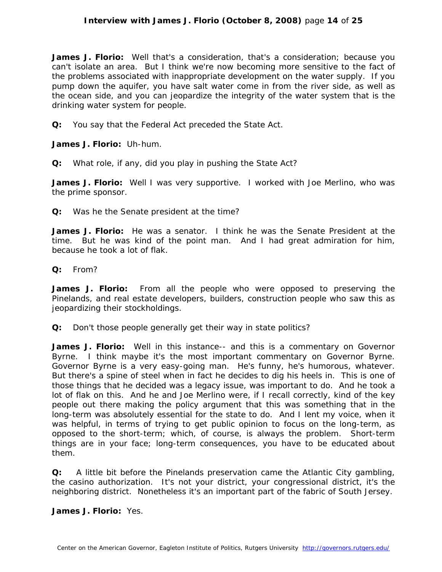## **Interview with James J. Florio (October 8, 2008)** page **14** of **25**

**James J. Florio:** Well that's a consideration, that's a consideration; because you can't isolate an area. But I think we're now becoming more sensitive to the fact of the problems associated with inappropriate development on the water supply. If you pump down the aquifer, you have salt water come in from the river side, as well as the ocean side, and you can jeopardize the integrity of the water system that is the drinking water system for people.

**Q:** You say that the Federal Act preceded the State Act.

**James J. Florio:** Uh-hum.

**Q:** What role, if any, did you play in pushing the State Act?

James J. Florio: Well I was very supportive. I worked with Joe Merlino, who was the prime sponsor.

**Q:** Was he the Senate president at the time?

**James J. Florio:** He was a senator. I think he was the Senate President at the time. But he was kind of the point man. And I had great admiration for him, because he took a lot of flak.

**Q:** From?

**James J. Florio:** From all the people who were opposed to preserving the Pinelands, and real estate developers, builders, construction people who saw this as jeopardizing their stockholdings.

**Q:** Don't those people generally get their way in state politics?

**James J. Florio:** Well in this instance-- and this is a commentary on Governor Byrne. I think maybe it's the most important commentary on Governor Byrne. Governor Byrne is a very easy-going man. He's funny, he's humorous, whatever. But there's a spine of steel when in fact he decides to dig his heels in. This is one of those things that he decided was a legacy issue, was important to do. And he took a lot of flak on this. And he and Joe Merlino were, if I recall correctly, kind of the key people out there making the policy argument that this was something that in the long-term was absolutely essential for the state to do. And I lent my voice, when it was helpful, in terms of trying to get public opinion to focus on the long-term, as opposed to the short-term; which, of course, is always the problem. Short-term things are in your face; long-term consequences, you have to be educated about them.

**Q:** A little bit before the Pinelands preservation came the Atlantic City gambling, the casino authorization. It's not your district, your congressional district, it's the neighboring district. Nonetheless it's an important part of the fabric of South Jersey.

**James J. Florio:** Yes.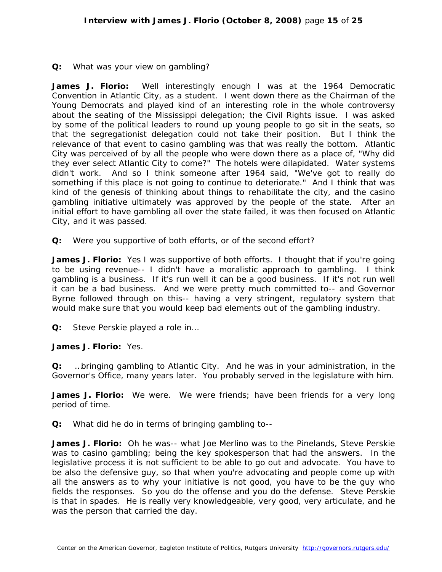## **Q:** What was your view on gambling?

**James J. Florio:** Well interestingly enough I was at the 1964 Democratic Convention in Atlantic City, as a student. I went down there as the Chairman of the Young Democrats and played kind of an interesting role in the whole controversy about the seating of the Mississippi delegation; the Civil Rights issue. I was asked by some of the political leaders to round up young people to go sit in the seats, so that the segregationist delegation could not take their position. But I think the relevance of that event to casino gambling was that was really the bottom. Atlantic City was perceived of by all the people who were down there as a place of, "Why did they ever select Atlantic City to come?" The hotels were dilapidated. Water systems didn't work. And so I think someone after 1964 said, "We've got to really do something if this place is not going to continue to deteriorate." And I think that was kind of the genesis of thinking about things to rehabilitate the city, and the casino gambling initiative ultimately was approved by the people of the state. After an initial effort to have gambling all over the state failed, it was then focused on Atlantic City, and it was passed.

**Q:** Were you supportive of both efforts, or of the second effort?

**James J. Florio:** Yes I was supportive of both efforts. I thought that if you're going to be using revenue-- I didn't have a moralistic approach to gambling. I think gambling is a business. If it's run well it can be a good business. If it's not run well it can be a bad business. And we were pretty much committed to-- and Governor Byrne followed through on this-- having a very stringent, regulatory system that would make sure that you would keep bad elements out of the gambling industry.

**Q:** Steve Perskie played a role in…

#### **James J. Florio:** Yes.

**Q:** …bringing gambling to Atlantic City. And he was in your administration, in the Governor's Office, many years later. You probably served in the legislature with him.

**James J. Florio:** We were. We were friends; have been friends for a very long period of time.

**Q:** What did he do in terms of bringing gambling to--

**James J. Florio:** Oh he was-- what Joe Merlino was to the Pinelands, Steve Perskie was to casino gambling; being the key spokesperson that had the answers. In the legislative process it is not sufficient to be able to go out and advocate. You have to be also the defensive guy, so that when you're advocating and people come up with all the answers as to why your initiative is not good, you have to be the guy who fields the responses. So you do the offense and you do the defense. Steve Perskie is that in spades. He is really very knowledgeable, very good, very articulate, and he was the person that carried the day.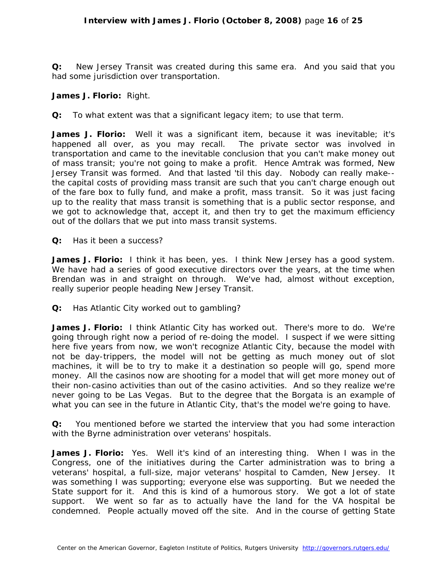**Q:** New Jersey Transit was created during this same era. And you said that you had some jurisdiction over transportation.

#### **James J. Florio:** Right.

**Q:** To what extent was that a significant legacy item; to use that term.

**James J. Florio:** Well it was a significant item, because it was inevitable; it's happened all over, as you may recall. The private sector was involved in transportation and came to the inevitable conclusion that you can't make money out of mass transit; you're not going to make a profit. Hence Amtrak was formed, New Jersey Transit was formed. And that lasted 'til this day. Nobody can really make- the capital costs of providing mass transit are such that you can't charge enough out of the fare box to fully fund, and make a profit, mass transit. So it was just facing up to the reality that mass transit is something that is a public sector response, and we got to acknowledge that, accept it, and then try to get the maximum efficiency out of the dollars that we put into mass transit systems.

**Q:** Has it been a success?

**James J. Florio:** I think it has been, yes. I think New Jersey has a good system. We have had a series of good executive directors over the years, at the time when Brendan was in and straight on through. We've had, almost without exception, really superior people heading New Jersey Transit.

**Q:** Has Atlantic City worked out to gambling?

**James J. Florio:** I think Atlantic City has worked out. There's more to do. We're going through right now a period of re-doing the model. I suspect if we were sitting here five years from now, we won't recognize Atlantic City, because the model with not be day-trippers, the model will not be getting as much money out of slot machines, it will be to try to make it a destination so people will go, spend more money. All the casinos now are shooting for a model that will get more money out of their non-casino activities than out of the casino activities. And so they realize we're never going to be Las Vegas. But to the degree that the Borgata is an example of what you can see in the future in Atlantic City, that's the model we're going to have.

**Q:** You mentioned before we started the interview that you had some interaction with the Byrne administration over veterans' hospitals.

**James J. Florio:** Yes. Well it's kind of an interesting thing. When I was in the Congress, one of the initiatives during the Carter administration was to bring a veterans' hospital, a full-size, major veterans' hospital to Camden, New Jersey. It was something I was supporting; everyone else was supporting. But we needed the State support for it. And this is kind of a humorous story. We got a lot of state support. We went so far as to actually have the land for the VA hospital be condemned. People actually moved off the site. And in the course of getting State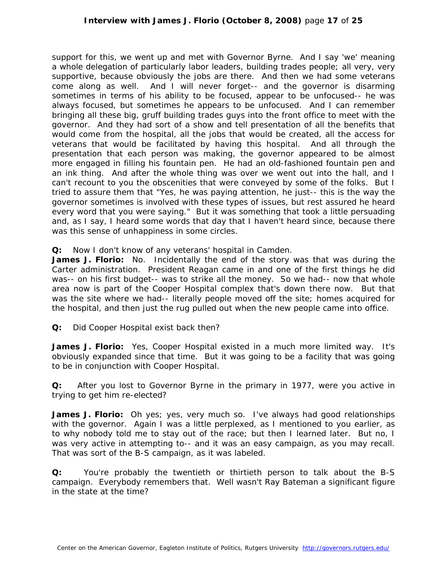support for this, we went up and met with Governor Byrne. And I say 'we' meaning a whole delegation of particularly labor leaders, building trades people; all very, very supportive, because obviously the jobs are there. And then we had some veterans come along as well. And I will never forget-- and the governor is disarming sometimes in terms of his ability to be focused, appear to be unfocused-- he was always focused, but sometimes he appears to be unfocused. And I can remember bringing all these big, gruff building trades guys into the front office to meet with the governor. And they had sort of a show and tell presentation of all the benefits that would come from the hospital, all the jobs that would be created, all the access for veterans that would be facilitated by having this hospital. And all through the presentation that each person was making, the governor appeared to be almost more engaged in filling his fountain pen. He had an old-fashioned fountain pen and an ink thing. And after the whole thing was over we went out into the hall, and I can't recount to you the obscenities that were conveyed by some of the folks. But I tried to assure them that "Yes, he was paying attention, he just-- this is the way the governor sometimes is involved with these types of issues, but rest assured he heard every word that you were saying." But it was something that took a little persuading and, as I say, I heard some words that day that I haven't heard since, because there was this sense of unhappiness in some circles.

**Q:** Now I don't know of any veterans' hospital in Camden.

**James J. Florio:** No. Incidentally the end of the story was that was during the Carter administration. President Reagan came in and one of the first things he did was-- on his first budget-- was to strike all the money. So we had-- now that whole area now is part of the Cooper Hospital complex that's down there now. But that was the site where we had-- literally people moved off the site; homes acquired for the hospital, and then just the rug pulled out when the new people came into office.

**Q:** Did Cooper Hospital exist back then?

**James J. Florio:** Yes, Cooper Hospital existed in a much more limited way. It's obviously expanded since that time. But it was going to be a facility that was going to be in conjunction with Cooper Hospital.

**Q:** After you lost to Governor Byrne in the primary in 1977, were you active in trying to get him re-elected?

James J. Florio: Oh yes; yes, very much so. I've always had good relationships with the governor. Again I was a little perplexed, as I mentioned to you earlier, as to why nobody told me to stay out of the race; but then I learned later. But no, I was very active in attempting to-- and it was an easy campaign, as you may recall. That was sort of the B-S campaign, as it was labeled.

**Q:** You're probably the twentieth or thirtieth person to talk about the B-S campaign. Everybody remembers that. Well wasn't Ray Bateman a significant figure in the state at the time?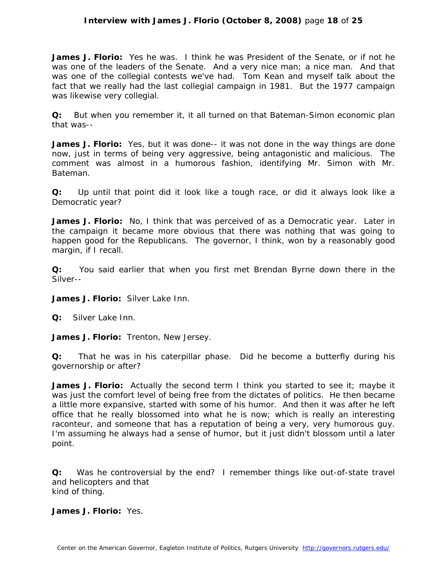## **Interview with James J. Florio (October 8, 2008)** page **18** of **25**

**James J. Florio:** Yes he was. I think he was President of the Senate, or if not he was one of the leaders of the Senate. And a very nice man; a nice man. And that was one of the collegial contests we've had. Tom Kean and myself talk about the fact that we really had the last collegial campaign in 1981. But the 1977 campaign was likewise very collegial.

**Q:** But when you remember it, it all turned on that Bateman-Simon economic plan that was--

**James J. Florio:** Yes, but it was done-- it was not done in the way things are done now, just in terms of being very aggressive, being antagonistic and malicious. The comment was almost in a humorous fashion, identifying Mr. Simon with Mr. Bateman.

**Q:** Up until that point did it look like a tough race, or did it always look like a Democratic year?

**James J. Florio:** No, I think that was perceived of as a Democratic year. Later in the campaign it became more obvious that there was nothing that was going to happen good for the Republicans. The governor, I think, won by a reasonably good margin, if I recall.

**Q:** You said earlier that when you first met Brendan Byrne down there in the Silver--

**James J. Florio:** Silver Lake Inn.

**Q:** Silver Lake Inn.

**James J. Florio:** Trenton, New Jersey.

**Q:** That he was in his caterpillar phase. Did he become a butterfly during his governorship or after?

**James J. Florio:** Actually the second term I think you started to see it; maybe it was just the comfort level of being free from the dictates of politics. He then became a little more expansive, started with some of his humor. And then it was after he left office that he really blossomed into what he is now; which is really an interesting raconteur, and someone that has a reputation of being a very, very humorous guy. I'm assuming he always had a sense of humor, but it just didn't blossom until a later point.

**Q:** Was he controversial by the end? I remember things like out-of-state travel and helicopters and that kind of thing.

**James J. Florio:** Yes.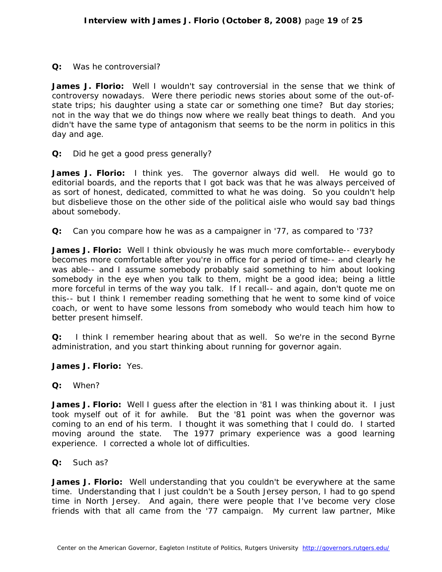## **Q:** Was he controversial?

**James J. Florio:** Well I wouldn't say controversial in the sense that we think of controversy nowadays. Were there periodic news stories about some of the out-ofstate trips; his daughter using a state car or something one time? But day stories; not in the way that we do things now where we really beat things to death. And you didn't have the same type of antagonism that seems to be the norm in politics in this day and age.

**Q:** Did he get a good press generally?

**James J. Florio:** I think yes. The governor always did well. He would go to editorial boards, and the reports that I got back was that he was always perceived of as sort of honest, dedicated, committed to what he was doing. So you couldn't help but disbelieve those on the other side of the political aisle who would say bad things about somebody.

**Q:** Can you compare how he was as a campaigner in '77, as compared to '73?

James J. Florio: Well I think obviously he was much more comfortable-- everybody becomes more comfortable after you're in office for a period of time-- and clearly he was able-- and I assume somebody probably said something to him about looking somebody in the eye when you talk to them, might be a good idea; being a little more forceful in terms of the way you talk. If I recall-- and again, don't quote me on this-- but I think I remember reading something that he went to some kind of voice coach, or went to have some lessons from somebody who would teach him how to better present himself.

**Q:** I think I remember hearing about that as well. So we're in the second Byrne administration, and you start thinking about running for governor again.

**James J. Florio:** Yes.

**Q:** When?

James J. Florio: Well I guess after the election in '81 I was thinking about it. I just took myself out of it for awhile. But the '81 point was when the governor was coming to an end of his term. I thought it was something that I could do. I started moving around the state. The 1977 primary experience was a good learning experience. I corrected a whole lot of difficulties.

#### **Q:** Such as?

**James J. Florio:** Well understanding that you couldn't be everywhere at the same time. Understanding that I just couldn't be a South Jersey person, I had to go spend time in North Jersey. And again, there were people that I've become very close friends with that all came from the '77 campaign. My current law partner, Mike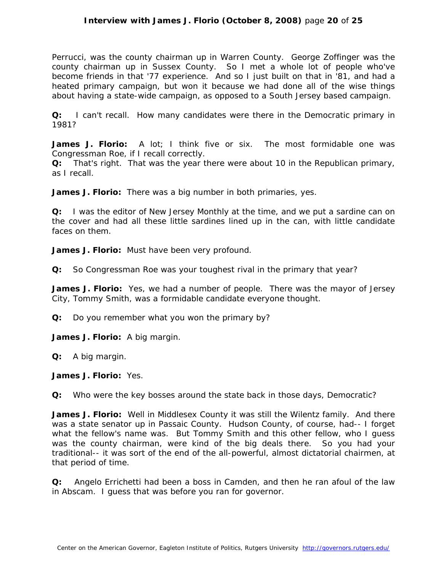Perrucci, was the county chairman up in Warren County. George Zoffinger was the county chairman up in Sussex County. So I met a whole lot of people who've become friends in that '77 experience. And so I just built on that in '81, and had a heated primary campaign, but won it because we had done all of the wise things about having a state-wide campaign, as opposed to a South Jersey based campaign.

**Q:** I can't recall. How many candidates were there in the Democratic primary in 1981?

**James J. Florio:** A lot; I think five or six. The most formidable one was Congressman Roe, if I recall correctly.

**Q:** That's right. That was the year there were about 10 in the Republican primary, as I recall.

**James J. Florio:** There was a big number in both primaries, yes.

**Q:** I was the editor of *New Jersey Monthly* at the time, and we put a sardine can on the cover and had all these little sardines lined up in the can, with little candidate faces on them.

**James J. Florio:** Must have been very profound.

**Q:** So Congressman Roe was your toughest rival in the primary that year?

**James J. Florio:** Yes, we had a number of people. There was the mayor of Jersey City, Tommy Smith, was a formidable candidate everyone thought.

**Q:** Do you remember what you won the primary by?

**James J. Florio:** A big margin.

**Q:** A big margin.

**James J. Florio:** Yes.

**Q:** Who were the key bosses around the state back in those days, Democratic?

**James J. Florio:** Well in Middlesex County it was still the Wilentz family. And there was a state senator up in Passaic County. Hudson County, of course, had-- I forget what the fellow's name was. But Tommy Smith and this other fellow, who I guess was the county chairman, were kind of the big deals there. So you had your traditional-- it was sort of the end of the all-powerful, almost dictatorial chairmen, at that period of time.

**Q:** Angelo Errichetti had been a boss in Camden, and then he ran afoul of the law in Abscam. I guess that was before you ran for governor.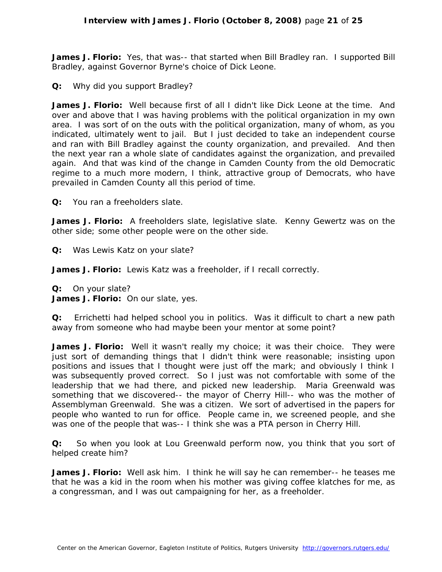**James J. Florio:** Yes, that was-- that started when Bill Bradley ran. I supported Bill Bradley, against Governor Byrne's choice of Dick Leone.

**Q:** Why did you support Bradley?

**James J. Florio:** Well because first of all I didn't like Dick Leone at the time. And over and above that I was having problems with the political organization in my own area. I was sort of on the outs with the political organization, many of whom, as you indicated, ultimately went to jail. But I just decided to take an independent course and ran with Bill Bradley against the county organization, and prevailed. And then the next year ran a whole slate of candidates against the organization, and prevailed again. And that was kind of the change in Camden County from the old Democratic regime to a much more modern, I think, attractive group of Democrats, who have prevailed in Camden County all this period of time.

**Q:** You ran a freeholders slate.

**James J. Florio:** A freeholders slate, legislative slate. Kenny Gewertz was on the other side; some other people were on the other side.

**Q:** Was Lewis Katz on your slate?

**James J. Florio:** Lewis Katz was a freeholder, if I recall correctly.

**Q:** On your slate?

**James J. Florio:** On our slate, yes.

**Q:** Errichetti had helped school you in politics. Was it difficult to chart a new path away from someone who had maybe been your mentor at some point?

**James J. Florio:** Well it wasn't really my choice; it was their choice. They were just sort of demanding things that I didn't think were reasonable; insisting upon positions and issues that I thought were just off the mark; and obviously I think I was subsequently proved correct. So I just was not comfortable with some of the leadership that we had there, and picked new leadership. Maria Greenwald was something that we discovered-- the mayor of Cherry Hill-- who was the mother of Assemblyman Greenwald. She was a citizen. We sort of advertised in the papers for people who wanted to run for office. People came in, we screened people, and she was one of the people that was-- I think she was a PTA person in Cherry Hill.

**Q:** So when you look at Lou Greenwald perform now, you think that you sort of helped create him?

**James J. Florio:** Well ask him. I think he will say he can remember-- he teases me that he was a kid in the room when his mother was giving coffee klatches for me, as a congressman, and I was out campaigning for her, as a freeholder.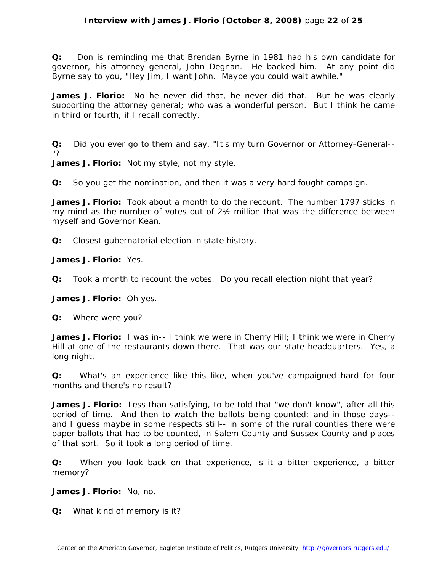**Q:** Don is reminding me that Brendan Byrne in 1981 had his own candidate for governor, his attorney general, John Degnan. He backed him. At any point did Byrne say to you, "Hey Jim, I want John. Maybe you could wait awhile."

**James J. Florio:** No he never did that, he never did that. But he was clearly supporting the attorney general; who was a wonderful person. But I think he came in third or fourth, if I recall correctly.

**Q:** Did you ever go to them and say, "It's my turn Governor or Attorney-General-- "?

**James J. Florio:** Not my style, not my style.

**Q:** So you get the nomination, and then it was a very hard fought campaign.

**James J. Florio:** Took about a month to do the recount. The number 1797 sticks in my mind as the number of votes out of 2½ million that was the difference between myself and Governor Kean.

**Q:** Closest gubernatorial election in state history.

**James J. Florio:** Yes.

**Q:** Took a month to recount the votes. Do you recall election night that year?

**James J. Florio:** Oh yes.

**Q:** Where were you?

James J. Florio: I was in-- I think we were in Cherry Hill; I think we were in Cherry Hill at one of the restaurants down there. That was our state headquarters. Yes, a long night.

**Q:** What's an experience like this like, when you've campaigned hard for four months and there's no result?

James J. Florio: Less than satisfying, to be told that "we don't know", after all this period of time. And then to watch the ballots being counted; and in those days- and I guess maybe in some respects still-- in some of the rural counties there were paper ballots that had to be counted, in Salem County and Sussex County and places of that sort. So it took a long period of time.

**Q:** When you look back on that experience, is it a bitter experience, a bitter memory?

**James J. Florio:** No, no.

**Q:** What kind of memory is it?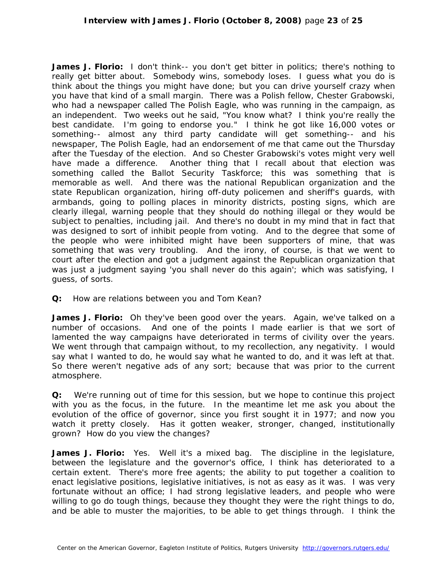**James J. Florio:** I don't think-- you don't get bitter in politics; there's nothing to really get bitter about. Somebody wins, somebody loses. I guess what you do is think about the things you might have done; but you can drive yourself crazy when you have that kind of a small margin. There was a Polish fellow, Chester Grabowski, who had a newspaper called *The Polish Eagle*, who was running in the campaign, as an independent. Two weeks out he said, "You know what? I think you're really the best candidate. I'm going to endorse you." I think he got like 16,000 votes or something-- almost any third party candidate will get something-- and his newspaper, *The Polish Eagle*, had an endorsement of me that came out the Thursday after the Tuesday of the election. And so Chester Grabowski's votes might very well have made a difference. Another thing that I recall about that election was something called the Ballot Security Taskforce; this was something that is memorable as well. And there was the national Republican organization and the state Republican organization, hiring off-duty policemen and sheriff's guards, with armbands, going to polling places in minority districts, posting signs, which are clearly illegal, warning people that they should do nothing illegal or they would be subject to penalties, including jail. And there's no doubt in my mind that in fact that was designed to sort of inhibit people from voting. And to the degree that some of the people who were inhibited might have been supporters of mine, that was something that was very troubling. And the irony, of course, is that we went to court after the election and got a judgment against the Republican organization that was just a judgment saying 'you shall never do this again'; which was satisfying, I guess, of sorts.

#### **Q:** How are relations between you and Tom Kean?

**James J. Florio:** Oh they've been good over the years. Again, we've talked on a number of occasions. And one of the points I made earlier is that we sort of lamented the way campaigns have deteriorated in terms of civility over the years. We went through that campaign without, to my recollection, any negativity. I would say what I wanted to do, he would say what he wanted to do, and it was left at that. So there weren't negative ads of any sort; because that was prior to the current atmosphere.

**Q:** We're running out of time for this session, but we hope to continue this project with you as the focus, in the future. In the meantime let me ask you about the evolution of the office of governor, since you first sought it in 1977; and now you watch it pretty closely. Has it gotten weaker, stronger, changed, institutionally grown? How do you view the changes?

**James J. Florio:** Yes. Well it's a mixed bag. The discipline in the legislature, between the legislature and the governor's office, I think has deteriorated to a certain extent. There's more free agents; the ability to put together a coalition to enact legislative positions, legislative initiatives, is not as easy as it was. I was very fortunate without an office; I had strong legislative leaders, and people who were willing to go do tough things, because they thought they were the right things to do, and be able to muster the majorities, to be able to get things through. I think the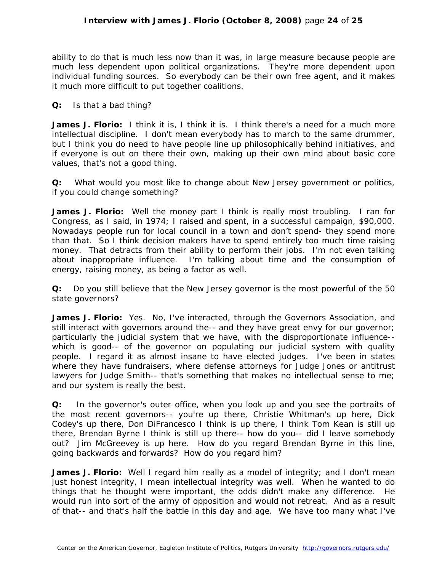ability to do that is much less now than it was, in large measure because people are much less dependent upon political organizations. They're more dependent upon individual funding sources. So everybody can be their own free agent, and it makes it much more difficult to put together coalitions.

**Q:** Is that a bad thing?

**James J. Florio:** I think it is, I think it is. I think there's a need for a much more intellectual discipline. I don't mean everybody has to march to the same drummer, but I think you do need to have people line up philosophically behind initiatives, and if everyone is out on there their own, making up their own mind about basic core values, that's not a good thing.

**Q:** What would you most like to change about New Jersey government or politics, if you could change something?

**James J. Florio:** Well the money part I think is really most troubling. I ran for Congress, as I said, in 1974; I raised and spent, in a successful campaign, \$90,000. Nowadays people run for local council in a town and don't spend- they spend more than that. So I think decision makers have to spend entirely too much time raising money. That detracts from their ability to perform their jobs. I'm not even talking about inappropriate influence. I'm talking about time and the consumption of energy, raising money, as being a factor as well.

**Q:** Do you still believe that the New Jersey governor is the most powerful of the 50 state governors?

**James J. Florio:** Yes. No, I've interacted, through the Governors Association, and still interact with governors around the-- and they have great envy for our governor; particularly the judicial system that we have, with the disproportionate influence- which is good-- of the governor on populating our judicial system with quality people. I regard it as almost insane to have elected judges. I've been in states where they have fundraisers, where defense attorneys for Judge Jones or antitrust lawyers for Judge Smith-- that's something that makes no intellectual sense to me; and our system is really the best.

**Q:** In the governor's outer office, when you look up and you see the portraits of the most recent governors-- you're up there, Christie Whitman's up here, Dick Codey's up there, Don DiFrancesco I think is up there, I think Tom Kean is still up there, Brendan Byrne I think is still up there-- how do you-- did I leave somebody out? Jim McGreevey is up here. How do you regard Brendan Byrne in this line, going backwards and forwards? How do you regard him?

**James J. Florio:** Well I regard him really as a model of integrity; and I don't mean just honest integrity, I mean intellectual integrity was well. When he wanted to do things that he thought were important, the odds didn't make any difference. He would run into sort of the army of opposition and would not retreat. And as a result of that-- and that's half the battle in this day and age. We have too many what I've